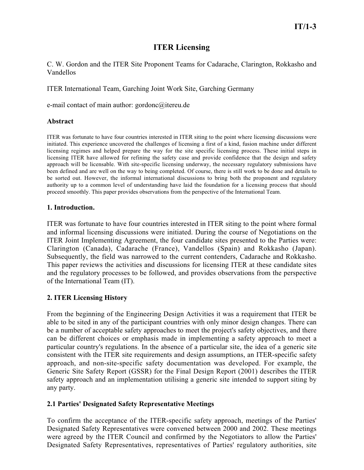# **ITER Licensing**

C. W. Gordon and the ITER Site Proponent Teams for Cadarache, Clarington, Rokkasho and Vandellos

ITER International Team, Garching Joint Work Site, Garching Germany

e-mail contact of main author: gordonc@itereu.de

#### **Abstract**

ITER was fortunate to have four countries interested in ITER siting to the point where licensing discussions were initiated. This experience uncovered the challenges of licensing a first of a kind, fusion machine under different licensing regimes and helped prepare the way for the site specific licensing process. These initial steps in licensing ITER have allowed for refining the safety case and provide confidence that the design and safety approach will be licensable. With site-specific licensing underway, the necessary regulatory submissions have been defined and are well on the way to being completed. Of course, there is still work to be done and details to be sorted out. However, the informal international discussions to bring both the proponent and regulatory authority up to a common level of understanding have laid the foundation for a licensing process that should proceed smoothly. This paper provides observations from the perspective of the International Team.

### **1. Introduction.**

ITER was fortunate to have four countries interested in ITER siting to the point where formal and informal licensing discussions were initiated. During the course of Negotiations on the ITER Joint Implementing Agreement, the four candidate sites presented to the Parties were: Clarington (Canada), Cadarache (France), Vandellos (Spain) and Rokkasho (Japan). Subsequently, the field was narrowed to the current contenders, Cadarache and Rokkasho. This paper reviews the activities and discussions for licensing ITER at these candidate sites and the regulatory processes to be followed, and provides observations from the perspective of the International Team (IT).

## **2. ITER Licensing History**

From the beginning of the Engineering Design Activities it was a requirement that ITER be able to be sited in any of the participant countries with only minor design changes. There can be a number of acceptable safety approaches to meet the project's safety objectives, and there can be different choices or emphasis made in implementing a safety approach to meet a particular country's regulations. In the absence of a particular site, the idea of a generic site consistent with the ITER site requirements and design assumptions, an ITER-specific safety approach, and non-site-specific safety documentation was developed. For example, the Generic Site Safety Report (GSSR) for the Final Design Report (2001) describes the ITER safety approach and an implementation utilising a generic site intended to support siting by any party.

#### **2.1 Parties' Designated Safety Representative Meetings**

To confirm the acceptance of the ITER-specific safety approach, meetings of the Parties' Designated Safety Representatives were convened between 2000 and 2002. These meetings were agreed by the ITER Council and confirmed by the Negotiators to allow the Parties' Designated Safety Representatives, representatives of Parties' regulatory authorities, site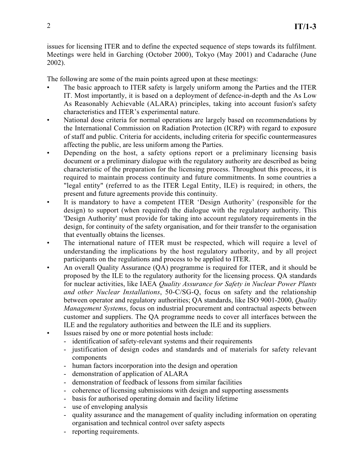issues for licensing ITER and to define the expected sequence of steps towards its fulfilment. Meetings were held in Garching (October 2000), Tokyo (May 2001) and Cadarache (June 2002).

The following are some of the main points agreed upon at these meetings:

- The basic approach to ITER safety is largely uniform among the Parties and the ITER IT. Most importantly, it is based on a deployment of defence-in-depth and the As Low As Reasonably Achievable (ALARA) principles, taking into account fusion's safety characteristics and ITER's experimental nature.
- National dose criteria for normal operations are largely based on recommendations by the International Commission on Radiation Protection (ICRP) with regard to exposure of staff and public. Criteria for accidents, including criteria for specific countermeasures affecting the public, are less uniform among the Parties.
- Depending on the host, a safety options report or a preliminary licensing basis document or a preliminary dialogue with the regulatory authority are described as being characteristic of the preparation for the licensing process. Throughout this process, it is required to maintain process continuity and future commitments. In some countries a "legal entity" (referred to as the ITER Legal Entity, ILE) is required; in others, the present and future agreements provide this continuity.
- It is mandatory to have a competent ITER 'Design Authority' (responsible for the design) to support (when required) the dialogue with the regulatory authority. This 'Design Authority' must provide for taking into account regulatory requirements in the design, for continuity of the safety organisation, and for their transfer to the organisation that eventually obtains the licenses.
- The international nature of ITER must be respected, which will require a level of understanding the implications by the host regulatory authority, and by all project participants on the regulations and process to be applied to ITER.
- An overall Quality Assurance (QA) programme is required for ITER, and it should be proposed by the ILE to the regulatory authority for the licensing process. QA standards for nuclear activities, like IAEA *Quality Assurance for Safety in Nuclear Power Plants and other Nuclear Installations*, 50-C/SG-Q, focus on safety and the relationship between operator and regulatory authorities; QA standards, like ISO 9001-2000, *Quality Management Systems*, focus on industrial procurement and contractual aspects between customer and suppliers. The QA programme needs to cover all interfaces between the ILE and the regulatory authorities and between the ILE and its suppliers.
- Issues raised by one or more potential hosts include:
	- identification of safety-relevant systems and their requirements
	- justification of design codes and standards and of materials for safety relevant components
	- human factors incorporation into the design and operation
	- demonstration of application of ALARA
	- demonstration of feedback of lessons from similar facilities
	- coherence of licensing submissions with design and supporting assessments
	- basis for authorised operating domain and facility lifetime
	- use of enveloping analysis
	- quality assurance and the management of quality including information on operating organisation and technical control over safety aspects
	- reporting requirements.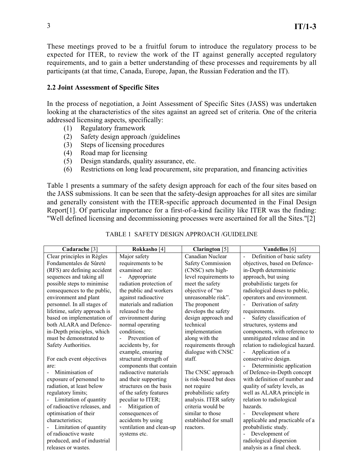These meetings proved to be a fruitful forum to introduce the regulatory process to be expected for ITER, to review the work of the IT against generally accepted regulatory requirements, and to gain a better understanding of these processes and requirements by all participants (at that time, Canada, Europe, Japan, the Russian Federation and the IT).

#### **2.2 Joint Assessment of Specific Sites**

In the process of negotiation, a Joint Assessment of Specific Sites (JASS) was undertaken looking at the characteristics of the sites against an agreed set of criteria. One of the criteria addressed licensing aspects, specifically:

- (1) Regulatory framework
- (2) Safety design approach /guidelines
- (3) Steps of licensing procedures
- (4) Road map for licensing
- (5) Design standards, quality assurance, etc.
- (6) Restrictions on long lead procurement, site preparation, and financing activities

Table 1 presents a summary of the safety design approach for each of the four sites based on the JASS submissions. It can be seen that the safety-design approaches for all sites are similar and generally consistent with the ITER-specific approach documented in the Final Design Report[1]. Of particular importance for a first-of-a-kind facility like ITER was the finding: "Well defined licensing and decommissioning processes were ascertained for all the Sites."[2]

| Cadarache <sup>[3]</sup>     | Rokkasho [4]                    | Clarington $[5]$         | Vandellos [6]                                        |
|------------------------------|---------------------------------|--------------------------|------------------------------------------------------|
| Clear principles in Règles   | Major safety                    | Canadian Nuclear         | Definition of basic safety<br>$\blacksquare$         |
| Fondamentales de Sûreté      | requirements to be              | <b>Safety Commission</b> | objectives, based on Defence-                        |
| (RFS) are defining accident  | examined are:                   | (CNSC) sets high-        | in-Depth deterministic                               |
| sequences and taking all     | Appropriate                     | level requirements to    | approach, but using                                  |
| possible steps to minimise   | radiation protection of         | meet the safety          | probabilistic targets for                            |
| consequences to the public,  | the public and workers          | objective of "no         | radiological doses to public,                        |
| environment and plant        | against radioactive             | unreasonable risk".      | operators and environment.                           |
| personnel. In all stages of  | materials and radiation         | The proponent            | Derivation of safety                                 |
| lifetime, safety approach is | released to the                 | develops the safety      | requirements.                                        |
| based on implementation of   | environment during              | design approach and      | Safety classification of<br>$\overline{\phantom{0}}$ |
| both ALARA and Defence-      | normal operating                | technical                | structures, systems and                              |
| in-Depth principles, which   | conditions;                     | implementation           | components, with reference to                        |
| must be demonstrated to      | Prevention of                   | along with the           | unmitigated release and in                           |
| Safety Authorities.          | accidents by, for               | requirements through     | relation to radiological hazard.                     |
|                              | example, ensuring               | dialogue with CNSC       | Application of a                                     |
| For each event objectives    | structural strength of          | staff.                   | conservative design.                                 |
| are:                         | components that contain         |                          | Deterministic application                            |
| Minimisation of              | radioactive materials           | The CNSC approach        | of Defence-in-Depth concept                          |
| exposure of personnel to     | and their supporting            | is risk-based but does   | with definition of number and                        |
| radiation, at least below    | structures on the basis         | not require              | quality of safety levels, as                         |
| regulatory limits;           | of the safety features          | probabilistic safety     | well as ALARA principle in                           |
| Limitation of quantity       | peculiar to ITER;               | analysis. ITER safety    | relation to radiological                             |
| of radioactive releases, and | Mitigation of<br>$\blacksquare$ | criteria would be        | hazards.                                             |
| optimisation of their        | consequences of                 | similar to those         | Development where                                    |
| characteristics;             | accidents by using              | established for small    | applicable and practicable of a                      |
| Limitation of quantity       | ventilation and clean-up        | reactors.                | probabilistic study.                                 |
| of radioactive waste         | systems etc.                    |                          | Development of                                       |
| produced, and of industrial  |                                 |                          | radiological dispersion                              |
| releases or wastes.          |                                 |                          | analysis as a final check.                           |

### TABLE 1 SAFETY DESIGN APPROACH /GUIDELINE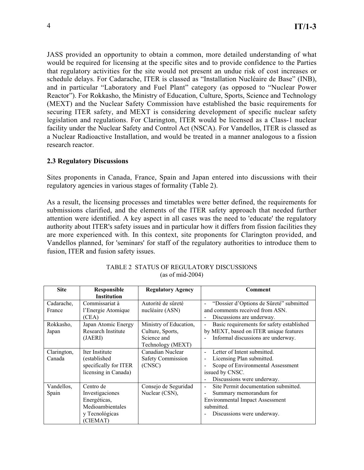JASS provided an opportunity to obtain a common, more detailed understanding of what would be required for licensing at the specific sites and to provide confidence to the Parties that regulatory activities for the site would not present an undue risk of cost increases or schedule delays. For Cadarache, ITER is classed as "Installation Nucléaire de Base" (INB), and in particular "Laboratory and Fuel Plant" category (as opposed to "Nuclear Power Reactor"). For Rokkasho, the Ministry of Education, Culture, Sports, Science and Technology (MEXT) and the Nuclear Safety Commission have established the basic requirements for securing ITER safety, and MEXT is considering development of specific nuclear safety legislation and regulations. For Clarington, ITER would be licensed as a Class-1 nuclear facility under the Nuclear Safety and Control Act (NSCA). For Vandellos, ITER is classed as a Nuclear Radioactive Installation, and would be treated in a manner analogous to a fission research reactor.

#### **2.3 Regulatory Discussions**

Sites proponents in Canada, France, Spain and Japan entered into discussions with their regulatory agencies in various stages of formality (Table 2).

As a result, the licensing processes and timetables were better defined, the requirements for submissions clarified, and the elements of the ITER safety approach that needed further attention were identified. A key aspect in all cases was the need to 'educate' the regulatory authority about ITER's safety issues and in particular how it differs from fission facilities they are more experienced with. In this context, site proponents for Clarington provided, and Vandellos planned, for 'seminars' for staff of the regulatory authorities to introduce them to fusion, ITER and fusion safety issues.

| <b>Site</b> | <b>Responsible</b>    | <b>Regulatory Agency</b> | Comment                                                     |
|-------------|-----------------------|--------------------------|-------------------------------------------------------------|
|             | <b>Institution</b>    |                          |                                                             |
| Cadarache,  | Commissariat à        | Autorité de sûreté       | "Dossier d'Options de Sûreté" submitted                     |
| France      | l'Energie Atomique    | nucléaire (ASN)          | and comments received from ASN.                             |
|             | (CEA)                 |                          | Discussions are underway.<br>$\qquad \qquad \blacksquare$   |
| Rokkasho,   | Japan Atomic Energy   | Ministry of Education,   | Basic requirements for safety established<br>$\blacksquare$ |
| Japan       | Research Institute    | Culture, Sports,         | by MEXT, based on ITER unique features                      |
|             | (JAERI)               | Science and              | Informal discussions are underway.                          |
|             |                       | Technology (MEXT)        |                                                             |
| Clarington, | Iter Institute        | Canadian Nuclear         | Letter of Intent submitted.<br>$\sim$                       |
| Canada      | (established          | Safety Commission        | Licensing Plan submitted.                                   |
|             | specifically for ITER | (CNSC)                   | Scope of Environmental Assessment                           |
|             | licensing in Canada)  |                          | issued by CNSC.                                             |
|             |                       |                          | Discussions were underway.<br>$\qquad \qquad \blacksquare$  |
| Vandellos,  | Centro de             | Consejo de Seguridad     | Site Permit documentation submitted.<br>$\blacksquare$      |
| Spain       | Investigaciones       | Nuclear (CSN),           | Summary memorandum for                                      |
|             | Energéticas,          |                          | <b>Environmental Impact Assessment</b>                      |
|             | Medioambientales      |                          | submitted.                                                  |
|             | y Tecnológicas        |                          | Discussions were underway.                                  |
|             | (CIEMAT)              |                          |                                                             |

TABLE 2 STATUS OF REGULATORY DISCUSSIONS (as of mid-2004)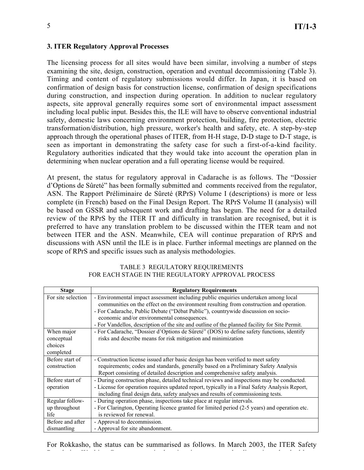#### **3. ITER Regulatory Approval Processes**

The licensing process for all sites would have been similar, involving a number of steps examining the site, design, construction, operation and eventual decommissioning (Table 3). Timing and content of regulatory submissions would differ. In Japan, it is based on confirmation of design basis for construction license, confirmation of design specifications during construction, and inspection during operation. In addition to nuclear regulatory aspects, site approval generally requires some sort of environmental impact assessment including local public input. Besides this, the ILE will have to observe conventional industrial safety, domestic laws concerning environment protection, building, fire protection, electric transformation/distribution, high pressure, worker's health and safety, etc. A step-by-step approach through the operational phases of ITER, from H-H stage, D-D stage to D-T stage, is seen as important in demonstrating the safety case for such a first-of-a-kind facility. Regulatory authorities indicated that they would take into account the operation plan in determining when nuclear operation and a full operating license would be required.

At present, the status for regulatory approval in Cadarache is as follows. The "Dossier d'Options de Sûreté" has been formally submitted and comments received from the regulator, ASN. The Rapport Préliminaire de Sûreté (RPrS) Volume I (descriptions) is more or less complete (in French) based on the Final Design Report. The RPrS Volume II (analysis) will be based on GSSR and subsequent work and drafting has begun. The need for a detailed review of the RPrS by the ITER IT and difficulty in translation are recognised, but it is preferred to have any translation problem to be discussed within the ITER team and not between ITER and the ASN. Meanwhile, CEA will continue preparation of RPrS and discussions with ASN until the ILE is in place. Further informal meetings are planned on the scope of RPrS and specific issues such as analysis methodologies.

| <b>Stage</b>       | <b>Regulatory Requirements</b>                                                                |  |  |
|--------------------|-----------------------------------------------------------------------------------------------|--|--|
| For site selection | - Environmental impact assessment including public enquiries undertaken among local           |  |  |
|                    | communities on the effect on the environment resulting from construction and operation.       |  |  |
|                    | - For Cadarache, Public Debate ("Débat Public"), countrywide discussion on socio-             |  |  |
|                    | economic and/or environmental consequences.                                                   |  |  |
|                    | - For Vandellos, description of the site and outline of the planned facility for Site Permit. |  |  |
| When major         | - For Cadarache, "Dossier d'Options de Sûreté" (DOS) to define safety functions, identify     |  |  |
| conceptual         | risks and describe means for risk mitigation and minimization                                 |  |  |
| choices            |                                                                                               |  |  |
| completed          |                                                                                               |  |  |
| Before start of    | - Construction license issued after basic design has been verified to meet safety             |  |  |
| construction       | requirements; codes and standards, generally based on a Preliminary Safety Analysis           |  |  |
|                    | Report consisting of detailed description and comprehensive safety analysis.                  |  |  |
| Before start of    | - During construction phase, detailed technical reviews and inspections may be conducted.     |  |  |
| operation          | - License for operation requires updated report, typically in a Final Safety Analysis Report, |  |  |
|                    | including final design data, safety analyses and results of commissioning tests.              |  |  |
| Regular follow-    | - During operation phase, inspections take place at regular intervals.                        |  |  |
| up throughout      | - For Clarington, Operating licence granted for limited period (2-5 years) and operation etc. |  |  |
| life               | is reviewed for renewal.                                                                      |  |  |
| Before and after   | - Approval to decommission.                                                                   |  |  |
| dismantling        | - Approval for site abandonment.                                                              |  |  |

TABLE 3 REGULATORY REQUIREMENTS FOR EACH STAGE IN THE REGULATORY APPROVAL PROCESS

For Rokkasho, the status can be summarised as follows. In March 2003, the ITER Safety

R l i W ki G i di i h di i h di i h di i h di i h di i h di i h di i h di i h di i h di i h di i h di i h di i<br>R l i h di i h di i h di i h di i h di i h di i h di i h di i h di i h di i h di i h di i h di i h di i h di i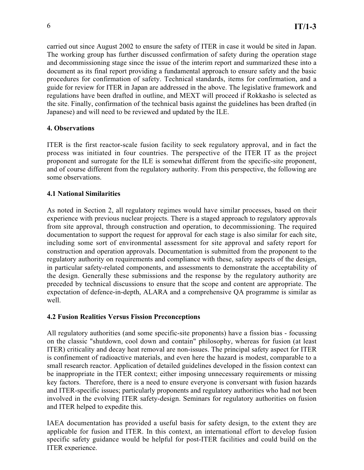carried out since August 2002 to ensure the safety of ITER in case it would be sited in Japan. The working group has further discussed confirmation of safety during the operation stage and decommissioning stage since the issue of the interim report and summarized these into a document as its final report providing a fundamental approach to ensure safety and the basic procedures for confirmation of safety. Technical standards, items for confirmation, and a guide for review for ITER in Japan are addressed in the above. The legislative framework and regulations have been drafted in outline, and MEXT will proceed if Rokkasho is selected as the site. Finally, confirmation of the technical basis against the guidelines has been drafted (in Japanese) and will need to be reviewed and updated by the ILE.

## **4. Observations**

ITER is the first reactor-scale fusion facility to seek regulatory approval, and in fact the process was initiated in four countries. The perspective of the ITER IT as the project proponent and surrogate for the ILE is somewhat different from the specific-site proponent, and of course different from the regulatory authority. From this perspective, the following are some observations.

# **4.1 National Similarities**

As noted in Section 2, all regulatory regimes would have similar processes, based on their experience with previous nuclear projects. There is a staged approach to regulatory approvals from site approval, through construction and operation, to decommissioning. The required documentation to support the request for approval for each stage is also similar for each site, including some sort of environmental assessment for site approval and safety report for construction and operation approvals. Documentation is submitted from the proponent to the regulatory authority on requirements and compliance with these, safety aspects of the design, in particular safety-related components, and assessments to demonstrate the acceptability of the design. Generally these submissions and the response by the regulatory authority are preceded by technical discussions to ensure that the scope and content are appropriate. The expectation of defence-in-depth, ALARA and a comprehensive QA programme is similar as well.

## **4.2 Fusion Realities Versus Fission Preconceptions**

All regulatory authorities (and some specific-site proponents) have a fission bias - focussing on the classic "shutdown, cool down and contain" philosophy, whereas for fusion (at least ITER) criticality and decay heat removal are non-issues. The principal safety aspect for ITER is confinement of radioactive materials, and even here the hazard is modest, comparable to a small research reactor. Application of detailed guidelines developed in the fission context can be inappropriate in the ITER context; either imposing unnecessary requirements or missing key factors. Therefore, there is a need to ensure everyone is conversant with fusion hazards and ITER-specific issues; particularly proponents and regulatory authorities who had not been involved in the evolving ITER safety-design. Seminars for regulatory authorities on fusion and ITER helped to expedite this.

IAEA documentation has provided a useful basis for safety design, to the extent they are applicable for fusion and ITER. In this context, an international effort to develop fusion specific safety guidance would be helpful for post-ITER facilities and could build on the ITER experience.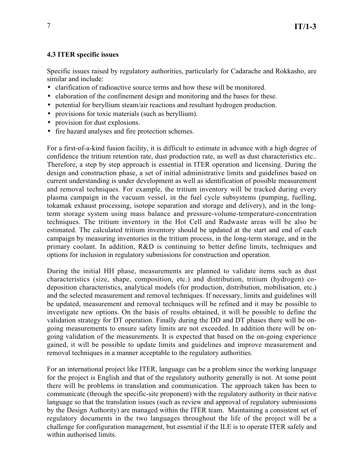## **4.3 ITER specific issues**

Specific issues raised by regulatory authorities, particularly for Cadarache and Rokkasho, are similar and include:

- clarification of radioactive source terms and how these will be monitored.
- elaboration of the confinement design and monitoring and the bases for these.
- potential for beryllium steam/air reactions and resultant hydrogen production.
- provisions for toxic materials (such as beryllium).
- provision for dust explosions.
- fire hazard analyses and fire protection schemes.

For a first-of-a-kind fusion facility, it is difficult to estimate in advance with a high degree of confidence the tritium retention rate, dust production rate, as well as dust characteristics etc.. Therefore, a step by step approach is essential in ITER operation and licensing. During the design and construction phase, a set of initial administrative limits and guidelines based on current understanding is under development as well as identification of possible measurement and removal techniques. For example, the tritium inventory will be tracked during every plasma campaign in the vacuum vessel, in the fuel cycle subsystems (pumping, fuelling, tokamak exhaust processing, isotope separation and storage and delivery), and in the longterm storage system using mass balance and pressure-volume-temperature-concentration techniques. The tritium inventory in the Hot Cell and Radwaste areas will be also be estimated. The calculated tritium inventory should be updated at the start and end of each campaign by measuring inventories in the tritium process, in the long-term storage, and in the primary coolant. In addition, R&D is continuing to better define limits, techniques and options for inclusion in regulatory submissions for construction and operation.

During the initial HH phase, measurements are planned to validate items such as dust characteristics (size, shape, composition, etc.) and distribution, tritium (hydrogen) codeposition characteristics, analytical models (for production, distribution, mobilisation, etc.) and the selected measurement and removal techniques. If necessary, limits and guidelines will be updated, measurement and removal techniques will be refined and it may be possible to investigate new options. On the basis of results obtained, it will be possible to define the validation strategy for DT operation. Finally during the DD and DT phases there will be ongoing measurements to ensure safety limits are not exceeded. In addition there will be ongoing validation of the measurements. It is expected that based on the on-going experience gained, it will be possible to update limits and guidelines and improve measurement and removal techniques in a manner acceptable to the regulatory authorities.

For an international project like ITER, language can be a problem since the working language for the project is English and that of the regulatory authority generally is not. At some point there will be problems in translation and communication. The approach taken has been to communicate (through the specific-site proponent) with the regulatory authority in their native language so that the translation issues (such as review and approval of regulatory submissions by the Design Authority) are managed within the ITER team. Maintaining a consistent set of regulatory documents in the two languages throughout the life of the project will be a challenge for configuration management, but essential if the ILE is to operate ITER safely and within authorised limits.